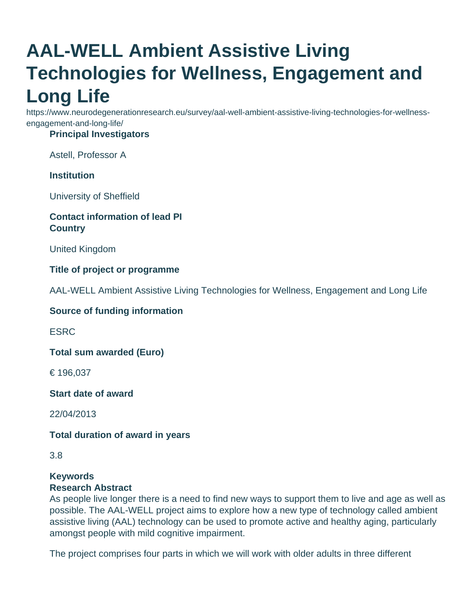# **AAL-WELL Ambient Assistive Living Technologies for Wellness, Engagement and Long Life**

https://www.neurodegenerationresearch.eu/survey/aal-well-ambient-assistive-living-technologies-for-wellnessengagement-and-long-life/

## **Principal Investigators**

Astell, Professor A

### **Institution**

University of Sheffield

### **Contact information of lead PI Country**

United Kingdom

### **Title of project or programme**

AAL-WELL Ambient Assistive Living Technologies for Wellness, Engagement and Long Life

#### **Source of funding information**

ESRC

**Total sum awarded (Euro)**

€ 196,037

**Start date of award**

22/04/2013

### **Total duration of award in years**

3.8

#### **Keywords Research Abstract**

As people live longer there is a need to find new ways to support them to live and age as well as possible. The AAL-WELL project aims to explore how a new type of technology called ambient assistive living (AAL) technology can be used to promote active and healthy aging, particularly amongst people with mild cognitive impairment.

The project comprises four parts in which we will work with older adults in three different